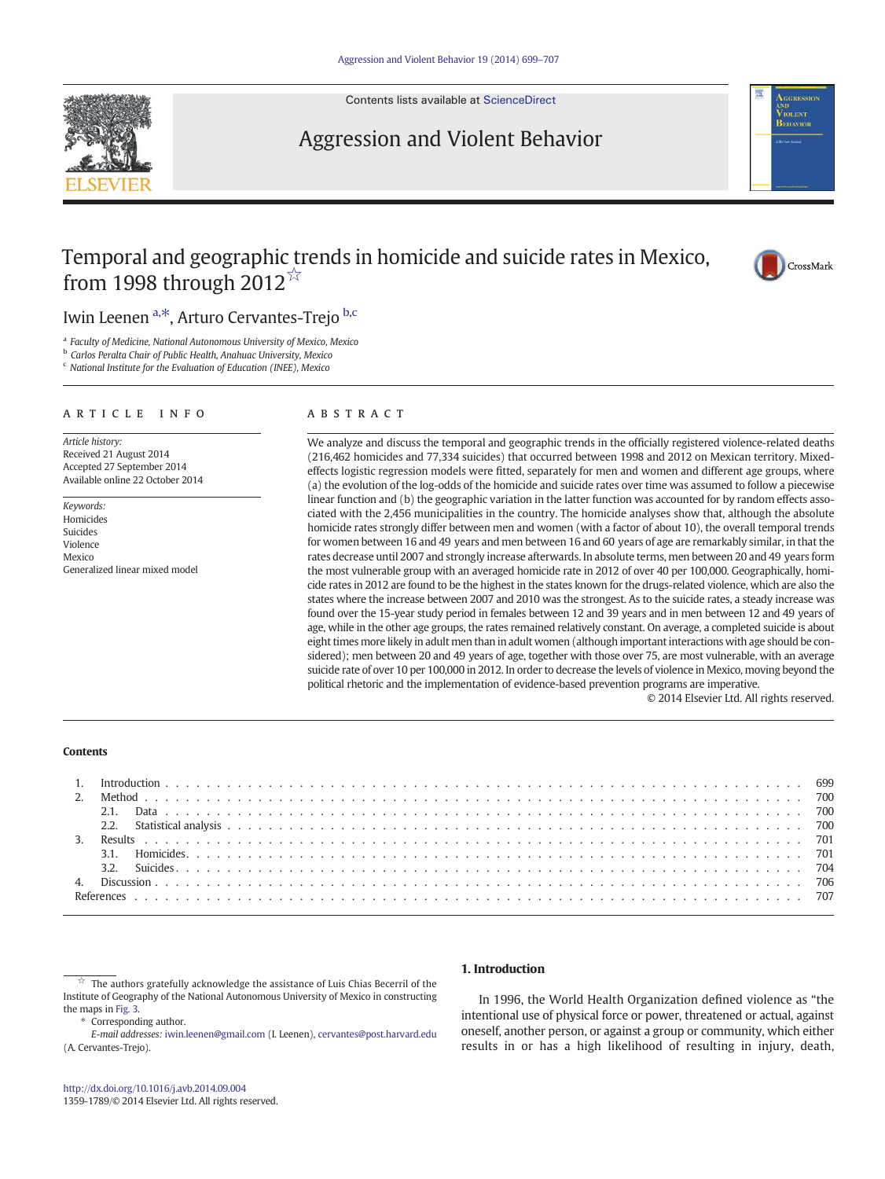Contents lists available at [ScienceDirect](http://www.sciencedirect.com/science/journal/13591789)

# Aggression and Violent Behavior



# Temporal and geographic trends in homicide and suicide rates in Mexico, from 1998 through 2012 $\overline{X}$



## Iwin Leenen <sup>a,\*</sup>, Arturo Cervantes-Trejo <sup>b,c</sup>

<sup>a</sup> Faculty of Medicine, National Autonomous University of Mexico, Mexico

**b** Carlos Peralta Chair of Public Health, Anahuac University, Mexico

 $c$  National Institute for the Evaluation of Education (INEE), Mexico

#### article info abstract

Article history: Received 21 August 2014 Accepted 27 September 2014 Available online 22 October 2014

Keywords: Homicides Suicides Violence Mexico Generalized linear mixed model

We analyze and discuss the temporal and geographic trends in the officially registered violence-related deaths (216,462 homicides and 77,334 suicides) that occurred between 1998 and 2012 on Mexican territory. Mixedeffects logistic regression models were fitted, separately for men and women and different age groups, where (a) the evolution of the log-odds of the homicide and suicide rates over time was assumed to follow a piecewise linear function and (b) the geographic variation in the latter function was accounted for by random effects associated with the 2,456 municipalities in the country. The homicide analyses show that, although the absolute homicide rates strongly differ between men and women (with a factor of about 10), the overall temporal trends for women between 16 and 49 years and men between 16 and 60 years of age are remarkably similar, in that the rates decrease until 2007 and strongly increase afterwards. In absolute terms, men between 20 and 49 years form the most vulnerable group with an averaged homicide rate in 2012 of over 40 per 100,000. Geographically, homicide rates in 2012 are found to be the highest in the states known for the drugs-related violence, which are also the states where the increase between 2007 and 2010 was the strongest. As to the suicide rates, a steady increase was found over the 15-year study period in females between 12 and 39 years and in men between 12 and 49 years of age, while in the other age groups, the rates remained relatively constant. On average, a completed suicide is about eight times more likely in adult men than in adult women (although important interactions with age should be considered); men between 20 and 49 years of age, together with those over 75, are most vulnerable, with an average suicide rate of over 10 per 100,000 in 2012. In order to decrease the levels of violence in Mexico, moving beyond the political rhetoric and the implementation of evidence-based prevention programs are imperative.

© 2014 Elsevier Ltd. All rights reserved.

#### Contents

The authors gratefully acknowledge the assistance of Luis Chias Becerril of the Institute of Geography of the National Autonomous University of Mexico in constructing the maps in [Fig. 3.](#page--1-0)

Corresponding author.

E-mail addresses: [iwin.leenen@gmail.com](mailto:iwin.leenen@gmail.com) (I. Leenen), [cervantes@post.harvard.edu](mailto:cervantes@post.harvard.edu) (A. Cervantes-Trejo).

### 1. Introduction

In 1996, the World Health Organization defined violence as "the intentional use of physical force or power, threatened or actual, against oneself, another person, or against a group or community, which either results in or has a high likelihood of resulting in injury, death,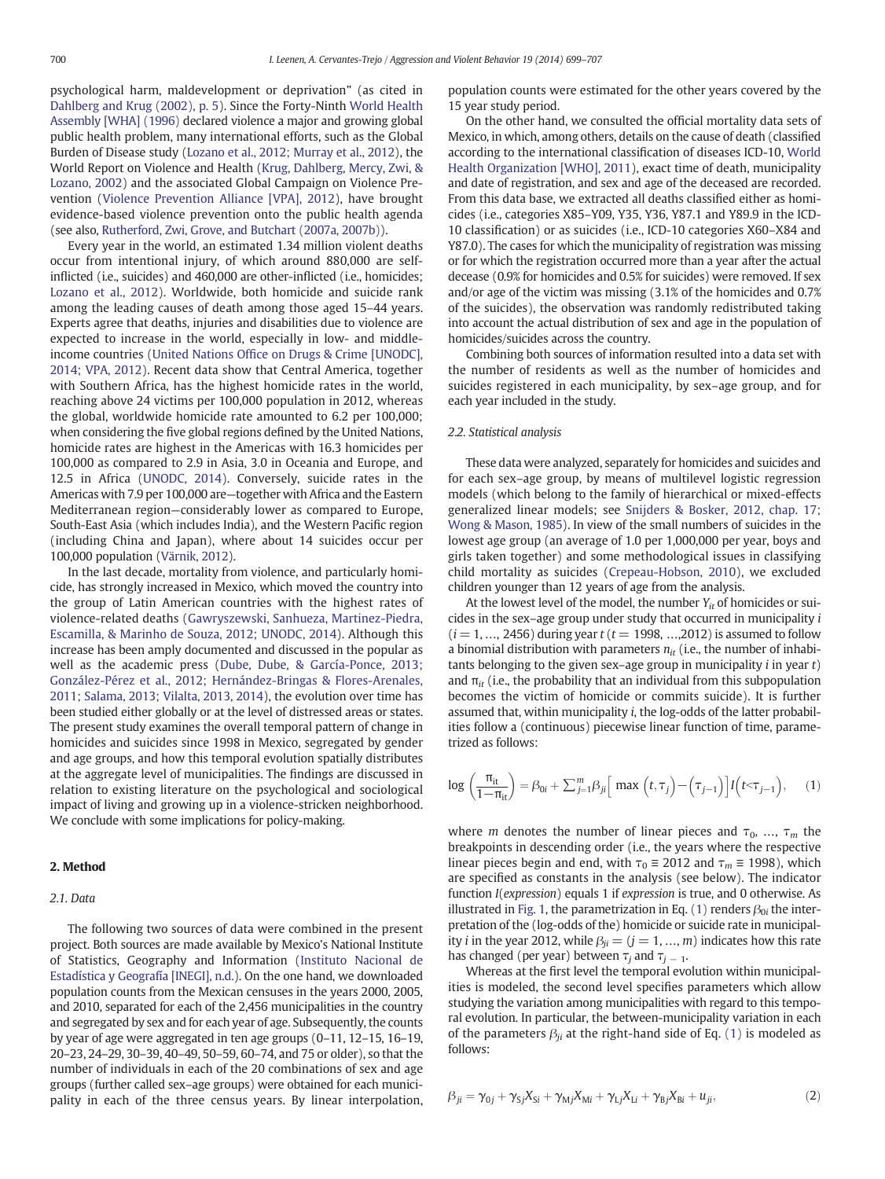psychological harm, maldevelopment or deprivation" (as cited in [Dahlberg and Krug \(2002\), p. 5](#page--1-0)). Since the Forty-Ninth [World Health](#page--1-0) [Assembly \[WHA\] \(1996\)](#page--1-0) declared violence a major and growing global public health problem, many international efforts, such as the Global Burden of Disease study ([Lozano et al., 2012; Murray et al., 2012\)](#page--1-0), the World Report on Violence and Health [\(Krug, Dahlberg, Mercy, Zwi, &](#page--1-0) [Lozano, 2002](#page--1-0)) and the associated Global Campaign on Violence Prevention [\(Violence Prevention Alliance \[VPA\], 2012](#page--1-0)), have brought evidence-based violence prevention onto the public health agenda (see also, [Rutherford, Zwi, Grove, and Butchart \(2007a, 2007b\)\)](#page--1-0).

Every year in the world, an estimated 1.34 million violent deaths occur from intentional injury, of which around 880,000 are selfinflicted (i.e., suicides) and 460,000 are other-inflicted (i.e., homicides; [Lozano et al., 2012\)](#page--1-0). Worldwide, both homicide and suicide rank among the leading causes of death among those aged 15–44 years. Experts agree that deaths, injuries and disabilities due to violence are expected to increase in the world, especially in low- and middleincome countries (United Nations Offi[ce on Drugs & Crime \[UNODC\],](#page--1-0) [2014; VPA, 2012\)](#page--1-0). Recent data show that Central America, together with Southern Africa, has the highest homicide rates in the world, reaching above 24 victims per 100,000 population in 2012, whereas the global, worldwide homicide rate amounted to 6.2 per 100,000; when considering the five global regions defined by the United Nations, homicide rates are highest in the Americas with 16.3 homicides per 100,000 as compared to 2.9 in Asia, 3.0 in Oceania and Europe, and 12.5 in Africa [\(UNODC, 2014](#page--1-0)). Conversely, suicide rates in the Americas with 7.9 per 100,000 are—together with Africa and the Eastern Mediterranean region—considerably lower as compared to Europe, South-East Asia (which includes India), and the Western Pacific region (including China and Japan), where about 14 suicides occur per 100,000 population [\(Värnik, 2012\)](#page--1-0).

In the last decade, mortality from violence, and particularly homicide, has strongly increased in Mexico, which moved the country into the group of Latin American countries with the highest rates of violence-related deaths [\(Gawryszewski, Sanhueza, Martinez-Piedra,](#page--1-0) [Escamilla, & Marinho de Souza, 2012; UNODC, 2014\)](#page--1-0). Although this increase has been amply documented and discussed in the popular as well as the academic press [\(Dube, Dube, & García-Ponce, 2013;](#page--1-0) [González-Pérez et al., 2012; Hernández-Bringas & Flores-Arenales,](#page--1-0) [2011; Salama, 2013; Vilalta, 2013, 2014](#page--1-0)), the evolution over time has been studied either globally or at the level of distressed areas or states. The present study examines the overall temporal pattern of change in homicides and suicides since 1998 in Mexico, segregated by gender and age groups, and how this temporal evolution spatially distributes at the aggregate level of municipalities. The findings are discussed in relation to existing literature on the psychological and sociological impact of living and growing up in a violence-stricken neighborhood. We conclude with some implications for policy-making.

#### 2. Method

#### 2.1. Data

The following two sources of data were combined in the present project. Both sources are made available by Mexico's National Institute of Statistics, Geography and Information [\(Instituto Nacional de](#page--1-0) [Estadística y Geografía \[INEGI\], n.d.](#page--1-0)). On the one hand, we downloaded population counts from the Mexican censuses in the years 2000, 2005, and 2010, separated for each of the 2,456 municipalities in the country and segregated by sex and for each year of age. Subsequently, the counts by year of age were aggregated in ten age groups (0–11, 12–15, 16–19, 20–23, 24–29, 30–39, 40–49, 50–59, 60–74, and 75 or older), so that the number of individuals in each of the 20 combinations of sex and age groups (further called sex–age groups) were obtained for each municipality in each of the three census years. By linear interpolation, population counts were estimated for the other years covered by the 15 year study period.

On the other hand, we consulted the official mortality data sets of Mexico, in which, among others, details on the cause of death (classified according to the international classification of diseases ICD-10, [World](#page--1-0) [Health Organization \[WHO\], 2011\)](#page--1-0), exact time of death, municipality and date of registration, and sex and age of the deceased are recorded. From this data base, we extracted all deaths classified either as homicides (i.e., categories X85–Y09, Y35, Y36, Y87.1 and Y89.9 in the ICD-10 classification) or as suicides (i.e., ICD-10 categories X60–X84 and Y87.0). The cases for which the municipality of registration was missing or for which the registration occurred more than a year after the actual decease (0.9% for homicides and 0.5% for suicides) were removed. If sex and/or age of the victim was missing (3.1% of the homicides and 0.7% of the suicides), the observation was randomly redistributed taking into account the actual distribution of sex and age in the population of homicides/suicides across the country.

Combining both sources of information resulted into a data set with the number of residents as well as the number of homicides and suicides registered in each municipality, by sex–age group, and for each year included in the study.

#### 2.2. Statistical analysis

These data were analyzed, separately for homicides and suicides and for each sex–age group, by means of multilevel logistic regression models (which belong to the family of hierarchical or mixed-effects generalized linear models; see [Snijders & Bosker, 2012, chap. 17;](#page--1-0) [Wong & Mason, 1985\)](#page--1-0). In view of the small numbers of suicides in the lowest age group (an average of 1.0 per 1,000,000 per year, boys and girls taken together) and some methodological issues in classifying child mortality as suicides ([Crepeau-Hobson, 2010](#page--1-0)), we excluded children younger than 12 years of age from the analysis.

At the lowest level of the model, the number  $Y_{it}$  of homicides or suicides in the sex–age group under study that occurred in municipality i  $(i = 1, ..., 2456)$  during year  $t$  ( $t = 1998, ..., 2012$ ) is assumed to follow a binomial distribution with parameters  $n_{it}$  (i.e., the number of inhabitants belonging to the given sex–age group in municipality  $i$  in year  $t$ ) and  $\pi_{it}$  (i.e., the probability that an individual from this subpopulation becomes the victim of homicide or commits suicide). It is further assumed that, within municipality i, the log-odds of the latter probabilities follow a (continuous) piecewise linear function of time, parametrized as follows:

$$
\log\left(\frac{\pi_{it}}{1-\pi_{it}}\right) = \beta_{0i} + \sum_{j=1}^{m} \beta_{ji} \Big[\max\left(t, \tau_j\right) - \Big(\tau_{j-1}\Big)\Big] I\Big(t < \tau_{j-1}\Big),\tag{1}
$$

where *m* denotes the number of linear pieces and  $\tau_0$ , ...,  $\tau_m$  the breakpoints in descending order (i.e., the years where the respective linear pieces begin and end, with  $\tau_0 \equiv 2012$  and  $\tau_m \equiv 1998$ ), which are specified as constants in the analysis (see below). The indicator function I(expression) equals 1 if expression is true, and 0 otherwise. As illustrated in [Fig. 1](#page--1-0), the parametrization in Eq. (1) renders  $\beta_{0i}$  the interpretation of the (log-odds of the) homicide or suicide rate in municipality *i* in the year 2012, while  $\beta_{ii} = (j = 1, ..., m)$  indicates how this rate has changed (per year) between  $\tau_i$  and  $\tau_{i-1}$ .

Whereas at the first level the temporal evolution within municipalities is modeled, the second level specifies parameters which allow studying the variation among municipalities with regard to this temporal evolution. In particular, the between-municipality variation in each of the parameters  $\beta_{ii}$  at the right-hand side of Eq. (1) is modeled as follows:

$$
\beta_{ji} = \gamma_{0j} + \gamma_{Sj} X_{Si} + \gamma_{Mj} X_{Mi} + \gamma_{Lj} X_{Li} + \gamma_{Bj} X_{Bi} + u_{ji},\tag{2}
$$